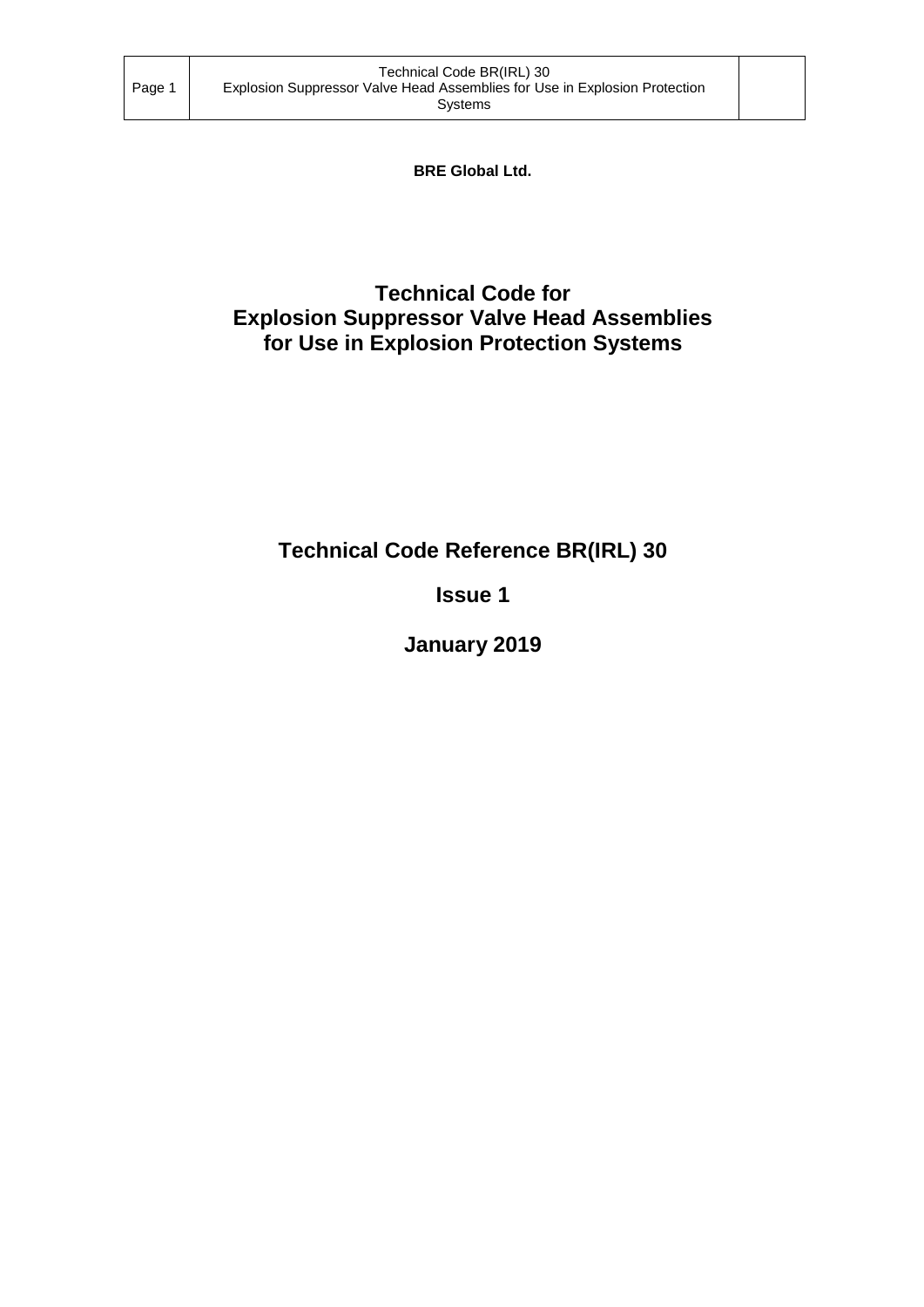**BRE Global Ltd.**

## **Technical Code for Explosion Suppressor Valve Head Assemblies for Use in Explosion Protection Systems**

# **Technical Code Reference BR(IRL) 30**

**Issue 1**

**January 2019**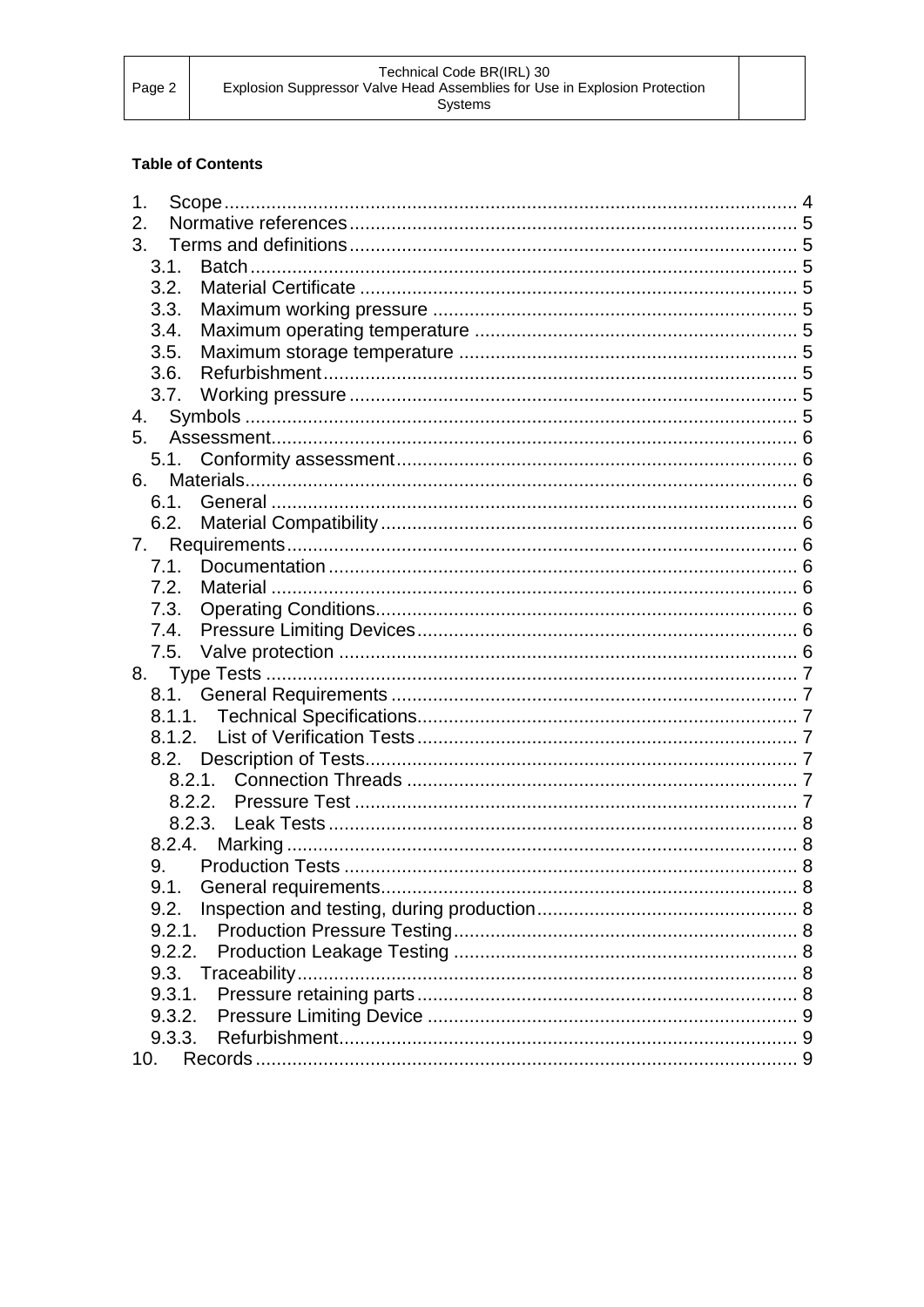## **Table of Contents**

| 1.   |        |  |
|------|--------|--|
| 2.   |        |  |
| 3.   |        |  |
|      | 3.1.   |  |
|      | 3.2.   |  |
|      | 3.3.   |  |
|      | 3.4.   |  |
| 3.5. |        |  |
|      | 3.6.   |  |
|      | 3.7.   |  |
| 4.   |        |  |
| 5.   |        |  |
|      |        |  |
| 6.   |        |  |
|      | 6.1.   |  |
|      |        |  |
| 7.   |        |  |
|      | 7.1.   |  |
|      | 7.2.   |  |
|      | 7.3.   |  |
|      | 7.4.   |  |
|      |        |  |
|      |        |  |
|      |        |  |
|      |        |  |
|      |        |  |
|      |        |  |
|      |        |  |
|      |        |  |
|      |        |  |
|      |        |  |
| 9.   |        |  |
|      |        |  |
|      | 9.2.   |  |
|      | 9.2.1. |  |
|      | 9.2.2. |  |
|      |        |  |
|      | 9.3.1. |  |
|      | 9.3.2. |  |
|      | 9.3.3. |  |
| 10.  |        |  |
|      |        |  |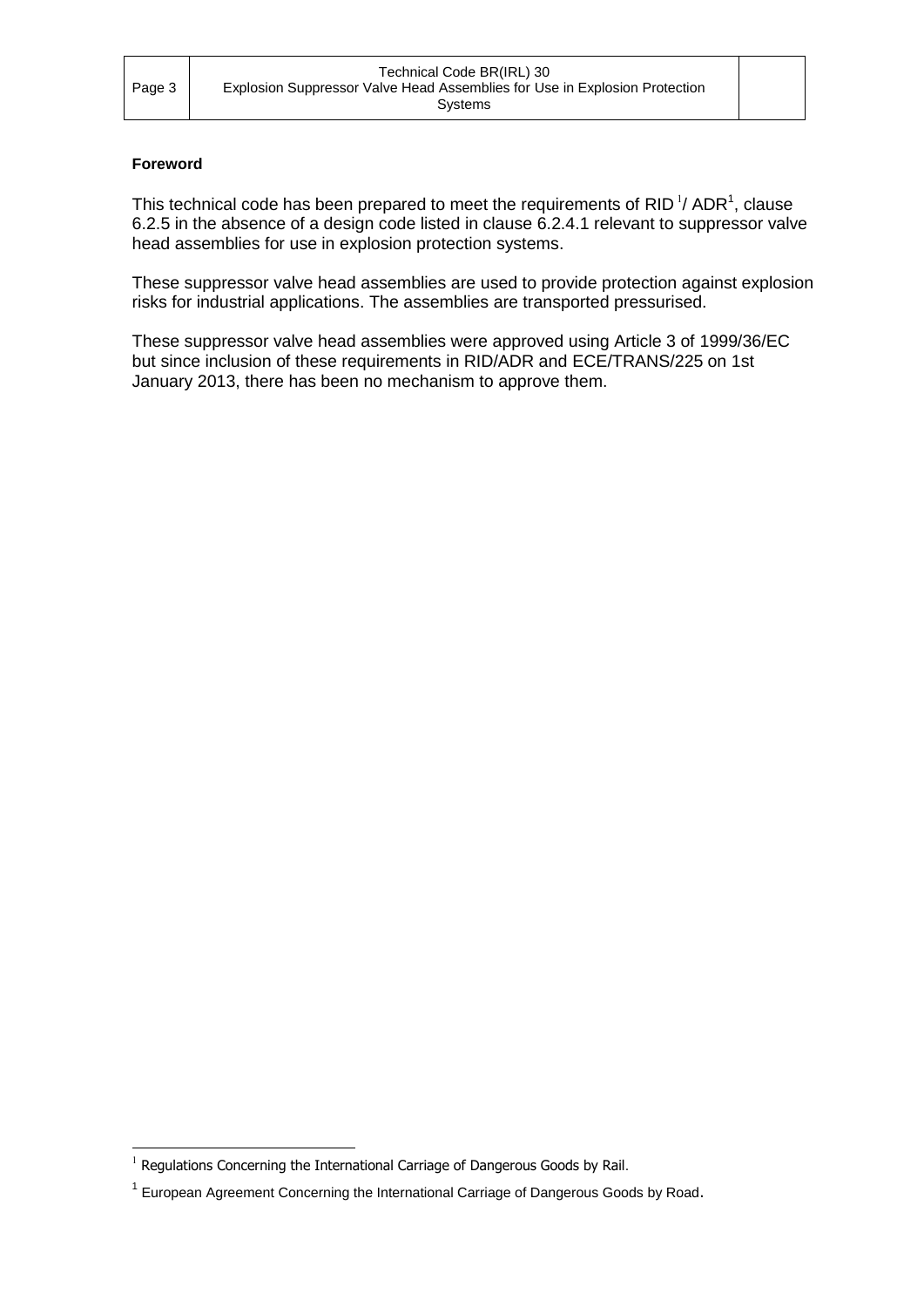#### **Foreword**

-

This technical code has been prepared to meet the requirements of RID<sup>1</sup>/ADR<sup>1</sup>, clause 6.2.5 in the absence of a design code listed in clause 6.2.4.1 relevant to suppressor valve head assemblies for use in explosion protection systems.

These suppressor valve head assemblies are used to provide protection against explosion risks for industrial applications. The assemblies are transported pressurised.

These suppressor valve head assemblies were approved using Article 3 of 1999/36/EC but since inclusion of these requirements in RID/ADR and ECE/TRANS/225 on 1st January 2013, there has been no mechanism to approve them.

 $1$  Regulations Concerning the International Carriage of Dangerous Goods by Rail.

<sup>&</sup>lt;sup>1</sup> European Agreement Concerning the International Carriage of Dangerous Goods by Road.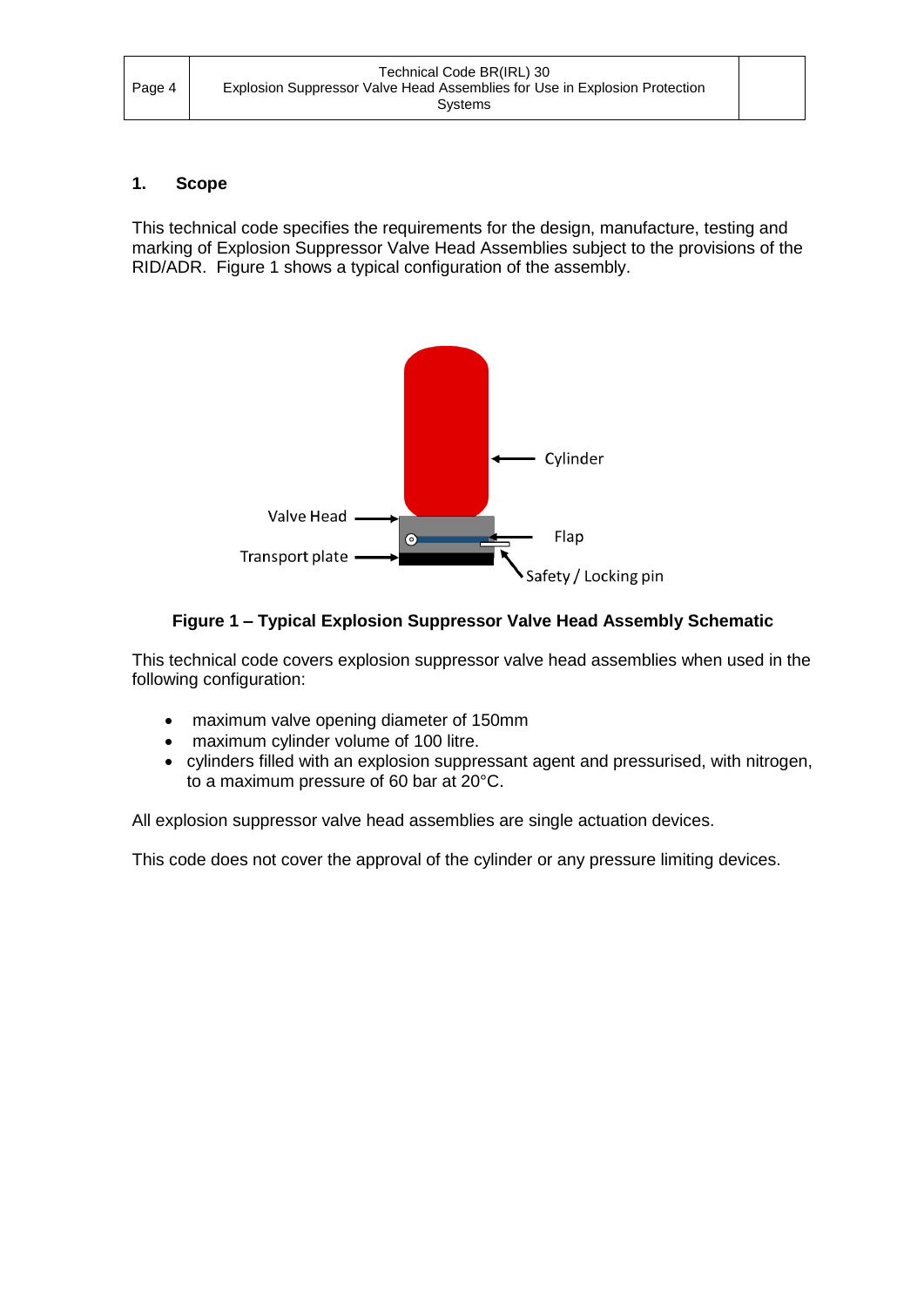## <span id="page-3-0"></span>**1. Scope**

This technical code specifies the requirements for the design, manufacture, testing and marking of Explosion Suppressor Valve Head Assemblies subject to the provisions of the RID/ADR. Figure 1 shows a typical configuration of the assembly.



## **Figure 1 – Typical Explosion Suppressor Valve Head Assembly Schematic**

This technical code covers explosion suppressor valve head assemblies when used in the following configuration:

- maximum valve opening diameter of 150mm
- maximum cylinder volume of 100 litre.
- cylinders filled with an explosion suppressant agent and pressurised, with nitrogen, to a maximum pressure of 60 bar at 20°C.

All explosion suppressor valve head assemblies are single actuation devices.

This code does not cover the approval of the cylinder or any pressure limiting devices.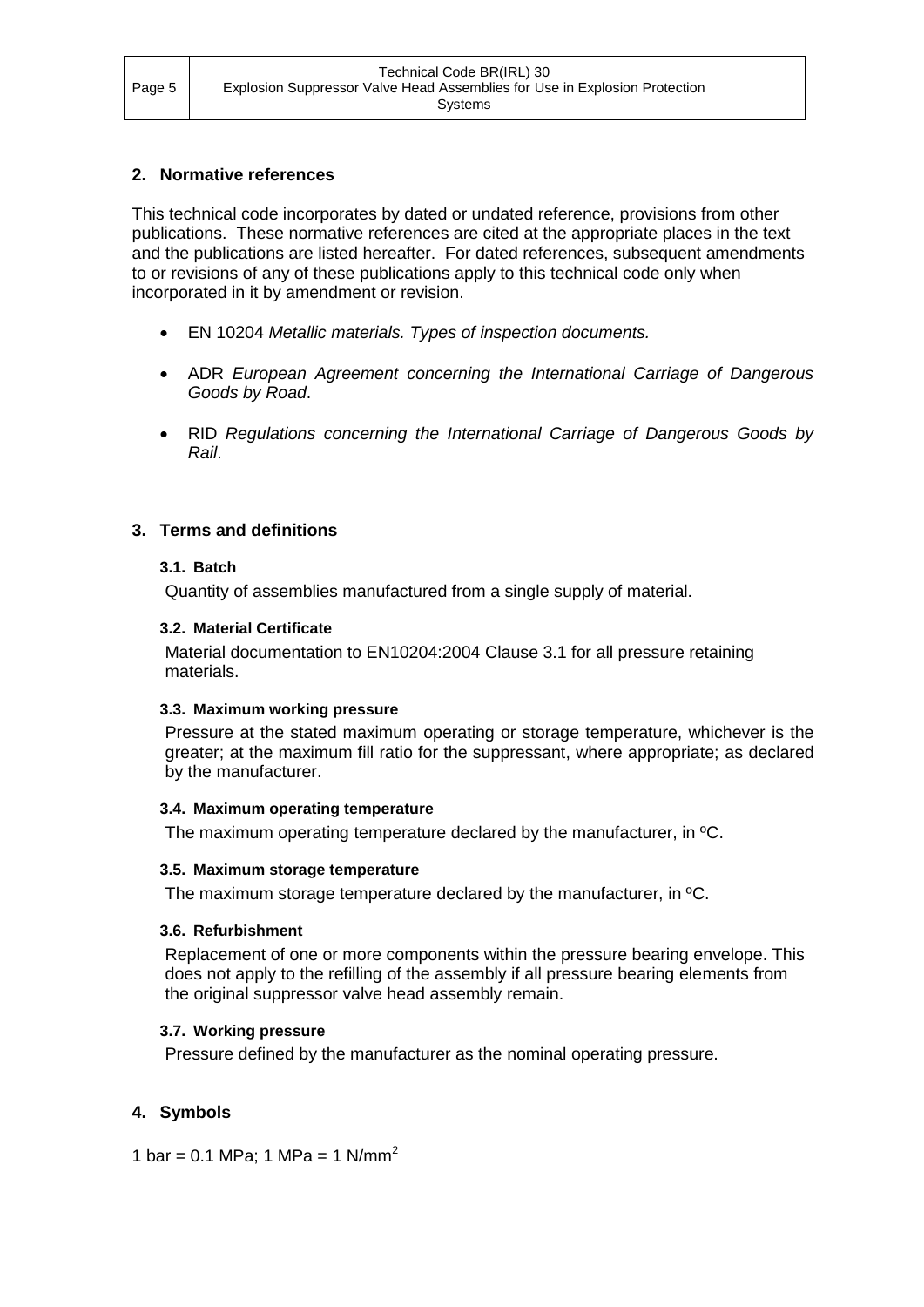## <span id="page-4-0"></span>**2. Normative references**

This technical code incorporates by dated or undated reference, provisions from other publications. These normative references are cited at the appropriate places in the text and the publications are listed hereafter. For dated references, subsequent amendments to or revisions of any of these publications apply to this technical code only when incorporated in it by amendment or revision.

- EN 10204 *Metallic materials. Types of inspection documents.*
- ADR *European Agreement concerning the International Carriage of Dangerous Goods by Road*.
- RID *Regulations concerning the International Carriage of Dangerous Goods by Rail*.

## <span id="page-4-2"></span><span id="page-4-1"></span>**3. Terms and definitions**

## **3.1. Batch**

Quantity of assemblies manufactured from a single supply of material.

#### <span id="page-4-3"></span>**3.2. Material Certificate**

Material documentation to EN10204:2004 Clause 3.1 for all pressure retaining materials.

#### <span id="page-4-4"></span>**3.3. Maximum working pressure**

Pressure at the stated maximum operating or storage temperature, whichever is the greater; at the maximum fill ratio for the suppressant, where appropriate; as declared by the manufacturer.

## <span id="page-4-5"></span>**3.4. Maximum operating temperature**

The maximum operating temperature declared by the manufacturer, in ºC.

#### <span id="page-4-6"></span>**3.5. Maximum storage temperature**

The maximum storage temperature declared by the manufacturer, in ºC.

#### <span id="page-4-7"></span>**3.6. Refurbishment**

Replacement of one or more components within the pressure bearing envelope. This does not apply to the refilling of the assembly if all pressure bearing elements from the original suppressor valve head assembly remain.

## <span id="page-4-8"></span>**3.7. Working pressure**

Pressure defined by the manufacturer as the nominal operating pressure.

## <span id="page-4-9"></span>**4. Symbols**

1 bar = 0.1 MPa; 1 MPa = 1 N/mm<sup>2</sup>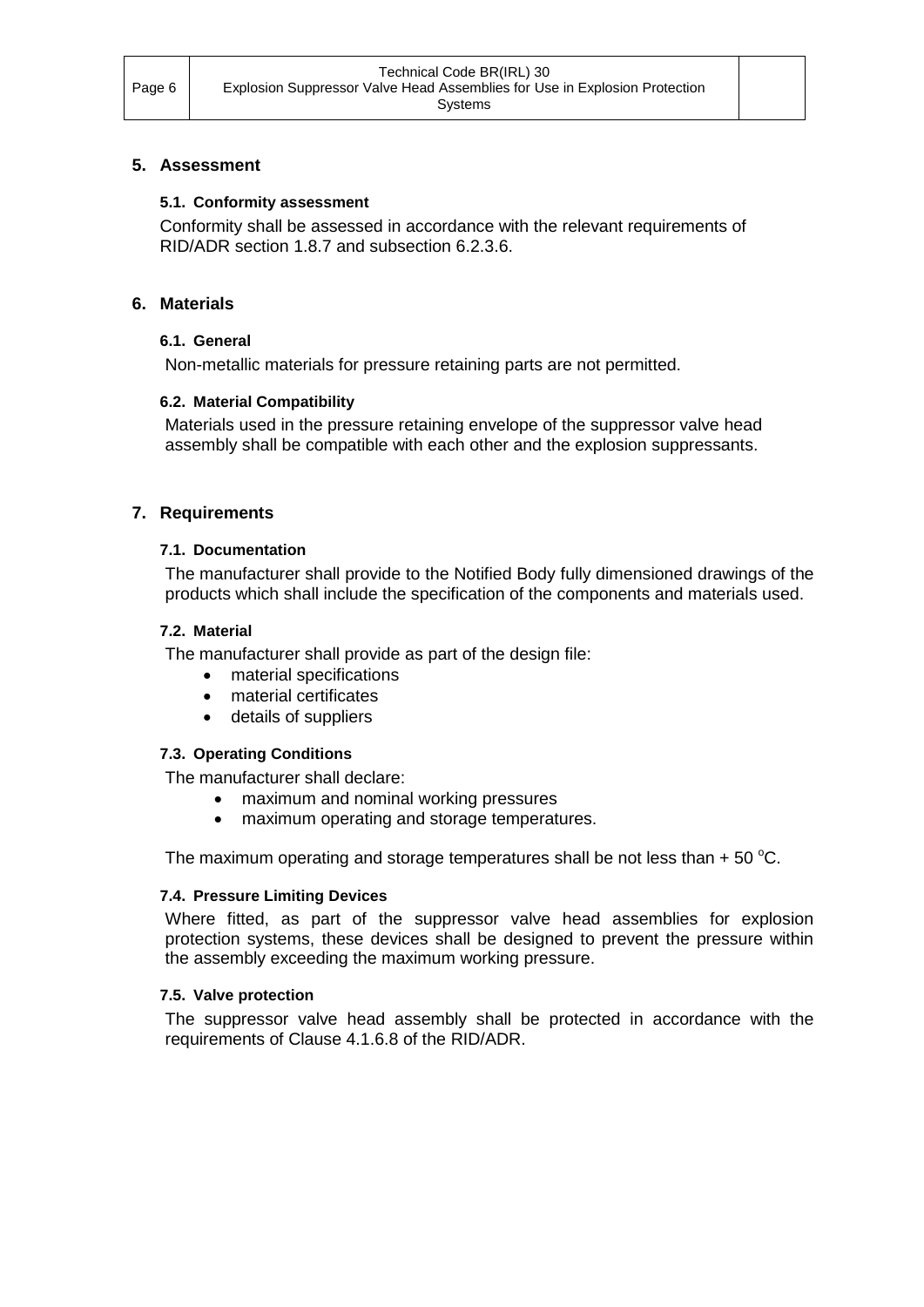#### <span id="page-5-1"></span><span id="page-5-0"></span>**5. Assessment**

#### **5.1. Conformity assessment**

Conformity shall be assessed in accordance with the relevant requirements of RID/ADR section 1.8.7 and subsection 6.2.3.6.

### <span id="page-5-3"></span><span id="page-5-2"></span>**6. Materials**

#### **6.1. General**

Non-metallic materials for pressure retaining parts are not permitted.

## <span id="page-5-4"></span>**6.2. Material Compatibility**

Materials used in the pressure retaining envelope of the suppressor valve head assembly shall be compatible with each other and the explosion suppressants.

#### <span id="page-5-6"></span><span id="page-5-5"></span>**7. Requirements**

#### **7.1. Documentation**

The manufacturer shall provide to the Notified Body fully dimensioned drawings of the products which shall include the specification of the components and materials used.

#### <span id="page-5-7"></span>**7.2. Material**

The manufacturer shall provide as part of the design file:

- material specifications
- material certificates
- details of suppliers

#### <span id="page-5-8"></span>**7.3. Operating Conditions**

The manufacturer shall declare:

- maximum and nominal working pressures
- maximum operating and storage temperatures.

The maximum operating and storage temperatures shall be not less than  $+50^{\circ}$ C.

#### <span id="page-5-9"></span>**7.4. Pressure Limiting Devices**

Where fitted, as part of the suppressor valve head assemblies for explosion protection systems, these devices shall be designed to prevent the pressure within the assembly exceeding the maximum working pressure.

#### <span id="page-5-10"></span>**7.5. Valve protection**

The suppressor valve head assembly shall be protected in accordance with the requirements of Clause 4.1.6.8 of the RID/ADR.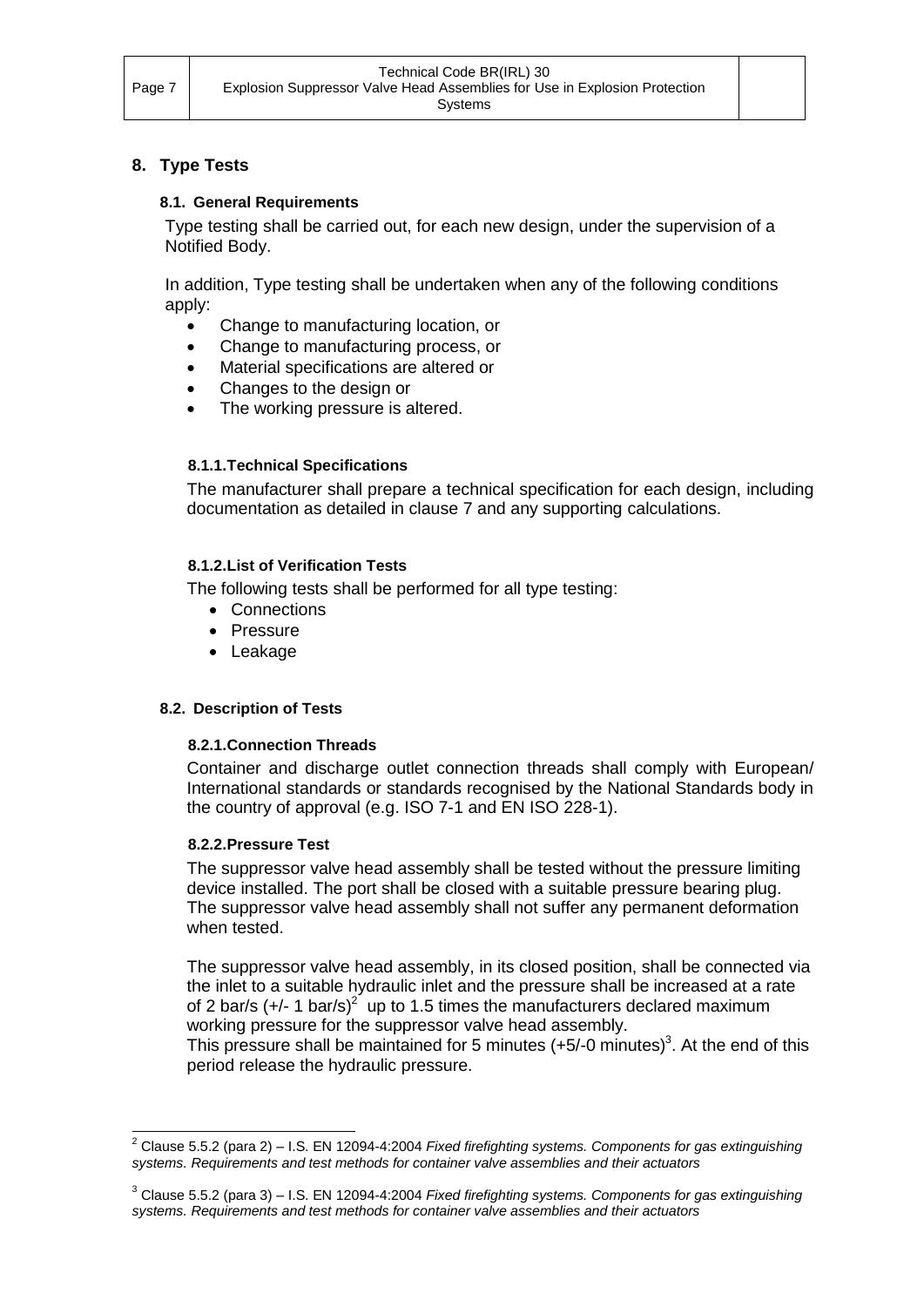## <span id="page-6-1"></span><span id="page-6-0"></span>**8. Type Tests**

#### **8.1. General Requirements**

Type testing shall be carried out, for each new design, under the supervision of a Notified Body.

In addition, Type testing shall be undertaken when any of the following conditions apply:

- Change to manufacturing location, or
- Change to manufacturing process, or
- Material specifications are altered or
- Changes to the design or
- The working pressure is altered.

#### <span id="page-6-2"></span>**8.1.1.Technical Specifications**

The manufacturer shall prepare a technical specification for each design, including documentation as detailed in clause 7 and any supporting calculations.

#### <span id="page-6-3"></span>**8.1.2.List of Verification Tests**

The following tests shall be performed for all type testing:

- Connections
- Pressure
- Leakage

#### <span id="page-6-5"></span><span id="page-6-4"></span>**8.2. Description of Tests**

#### **8.2.1.Connection Threads**

Container and discharge outlet connection threads shall comply with European/ International standards or standards recognised by the National Standards body in the country of approval (e.g. ISO 7-1 and EN ISO 228-1).

#### <span id="page-6-6"></span>**8.2.2.Pressure Test**

The suppressor valve head assembly shall be tested without the pressure limiting device installed. The port shall be closed with a suitable pressure bearing plug. The suppressor valve head assembly shall not suffer any permanent deformation when tested.

The suppressor valve head assembly, in its closed position, shall be connected via the inlet to a suitable hydraulic inlet and the pressure shall be increased at a rate of 2 bar/s (+/- 1 bar/s)<sup>2</sup> up to 1.5 times the manufacturers declared maximum working pressure for the suppressor valve head assembly.

This pressure shall be maintained for 5 minutes  $(+5/-0 \text{ minutes})^3$ . At the end of this period release the hydraulic pressure.

<sup>-</sup><sup>2</sup> Clause 5.5.2 (para 2) – I.S. EN 12094-4:2004 *Fixed firefighting systems. Components for gas extinguishing systems. Requirements and test methods for container valve assemblies and their actuators*

<sup>3</sup> Clause 5.5.2 (para 3) – I.S. EN 12094-4:2004 *Fixed firefighting systems. Components for gas extinguishing systems. Requirements and test methods for container valve assemblies and their actuators*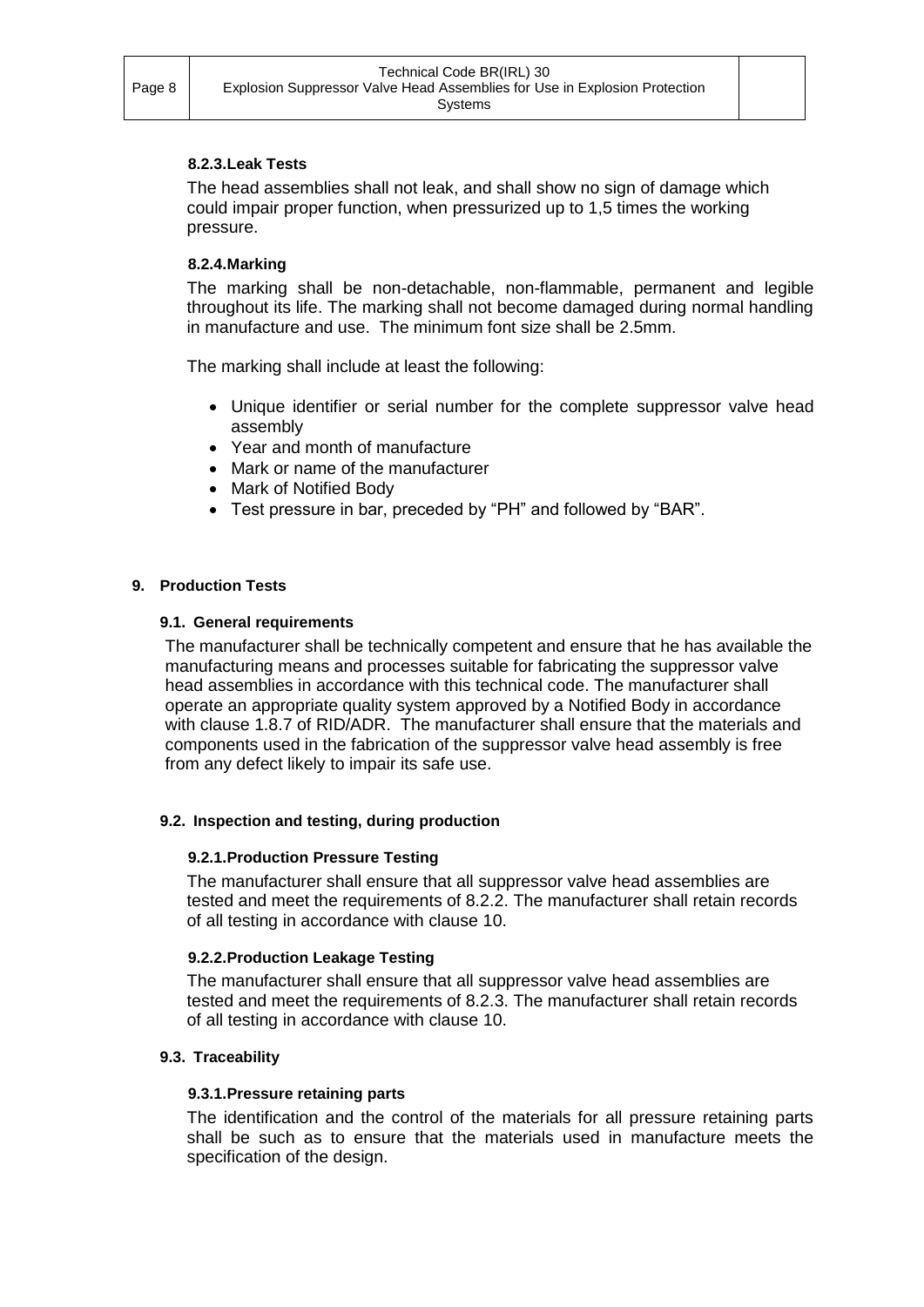#### <span id="page-7-0"></span>**8.2.3.Leak Tests**

The head assemblies shall not leak, and shall show no sign of damage which could impair proper function, when pressurized up to 1,5 times the working pressure.

#### <span id="page-7-1"></span>**8.2.4.Marking**

The marking shall be non-detachable, non-flammable, permanent and legible throughout its life. The marking shall not become damaged during normal handling in manufacture and use. The minimum font size shall be 2.5mm.

The marking shall include at least the following:

- Unique identifier or serial number for the complete suppressor valve head assembly
- Year and month of manufacture
- Mark or name of the manufacturer
- Mark of Notified Body
- Test pressure in bar, preceded by "PH" and followed by "BAR".

#### <span id="page-7-3"></span><span id="page-7-2"></span>**9. Production Tests**

#### **9.1. General requirements**

The manufacturer shall be technically competent and ensure that he has available the manufacturing means and processes suitable for fabricating the suppressor valve head assemblies in accordance with this technical code. The manufacturer shall operate an appropriate quality system approved by a Notified Body in accordance with clause 1.8.7 of RID/ADR. The manufacturer shall ensure that the materials and components used in the fabrication of the suppressor valve head assembly is free from any defect likely to impair its safe use.

#### <span id="page-7-5"></span><span id="page-7-4"></span>**9.2. Inspection and testing, during production**

#### **9.2.1.Production Pressure Testing**

The manufacturer shall ensure that all suppressor valve head assemblies are tested and meet the requirements of 8.2.2. The manufacturer shall retain records of all testing in accordance with clause 10.

#### <span id="page-7-6"></span>**9.2.2.Production Leakage Testing**

The manufacturer shall ensure that all suppressor valve head assemblies are tested and meet the requirements of 8.2.3. The manufacturer shall retain records of all testing in accordance with clause 10.

#### <span id="page-7-8"></span><span id="page-7-7"></span>**9.3. Traceability**

#### **9.3.1.Pressure retaining parts**

The identification and the control of the materials for all pressure retaining parts shall be such as to ensure that the materials used in manufacture meets the specification of the design.